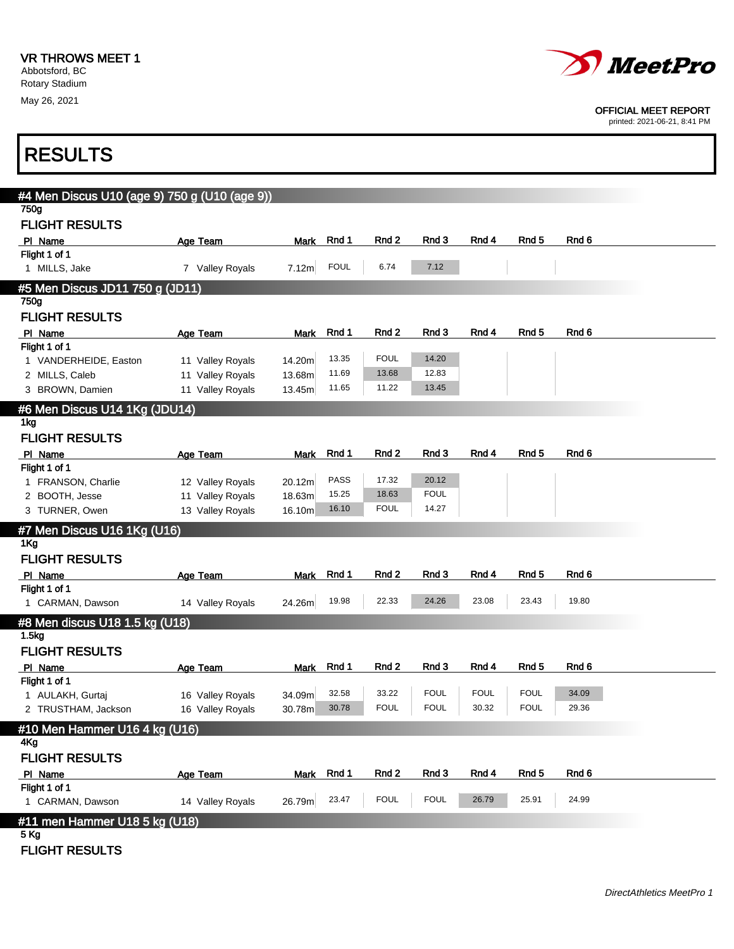

OFFICIAL MEET REPORT

printed: 2021-06-21, 8:41 PM

٦

| <b>RESULTS</b>                                      |                  |             |             |             |             |             |                  |                  |  |
|-----------------------------------------------------|------------------|-------------|-------------|-------------|-------------|-------------|------------------|------------------|--|
| #4 Men Discus U10 (age 9) 750 g (U10 (age 9))       |                  |             |             |             |             |             |                  |                  |  |
| 750g                                                |                  |             |             |             |             |             |                  |                  |  |
| <b>FLIGHT RESULTS</b>                               |                  |             |             |             |             |             |                  |                  |  |
| PI Name                                             | Age Team         | Mark        | Rnd 1       | Rnd 2       | Rnd 3       | Rnd 4       | Rnd 5            | Rnd 6            |  |
| Flight 1 of 1                                       |                  |             | <b>FOUL</b> | 6.74        | 7.12        |             |                  |                  |  |
| 1 MILLS, Jake                                       | 7 Valley Royals  | 7.12m       |             |             |             |             |                  |                  |  |
| #5 Men Discus JD11 750 g (JD11)                     |                  |             |             |             |             |             |                  |                  |  |
| 750g                                                |                  |             |             |             |             |             |                  |                  |  |
| <b>FLIGHT RESULTS</b>                               |                  |             |             |             |             |             |                  |                  |  |
| PI Name<br>Flight 1 of 1                            | Age Team         | <b>Mark</b> | Rnd 1       | Rnd 2       | Rnd 3       | Rnd 4       | Rnd 5            | Rnd 6            |  |
| 1 VANDERHEIDE, Easton                               | 11 Valley Royals | 14.20m      | 13.35       | <b>FOUL</b> | 14.20       |             |                  |                  |  |
| 2 MILLS, Caleb                                      | 11 Valley Royals | 13.68m      | 11.69       | 13.68       | 12.83       |             |                  |                  |  |
| 3 BROWN, Damien                                     | 11 Valley Royals | 13.45m      | 11.65       | 11.22       | 13.45       |             |                  |                  |  |
| #6 Men Discus U14 1Kg (JDU14)                       |                  |             |             |             |             |             |                  |                  |  |
| 1kg                                                 |                  |             |             |             |             |             |                  |                  |  |
| <b>FLIGHT RESULTS</b>                               |                  |             |             |             |             |             |                  |                  |  |
| PI Name                                             | Age Team         | Mark        | Rnd 1       | Rnd 2       | Rnd 3       | Rnd 4       | Rnd <sub>5</sub> | Rnd <sub>6</sub> |  |
| Flight 1 of 1                                       |                  |             |             |             |             |             |                  |                  |  |
| 1 FRANSON, Charlie                                  | 12 Valley Royals | 20.12m      | <b>PASS</b> | 17.32       | 20.12       |             |                  |                  |  |
| 2 BOOTH, Jesse                                      | 11 Valley Royals | 18.63m      | 15.25       | 18.63       | <b>FOUL</b> |             |                  |                  |  |
| 3 TURNER, Owen                                      | 13 Valley Royals | 16.10m      | 16.10       | <b>FOUL</b> | 14.27       |             |                  |                  |  |
| #7 Men Discus U16 1Kg (U16)                         |                  |             |             |             |             |             |                  |                  |  |
| 1Kg                                                 |                  |             |             |             |             |             |                  |                  |  |
| <b>FLIGHT RESULTS</b>                               |                  |             |             |             |             |             |                  |                  |  |
| PI Name                                             | Age Team         | Mark        | Rnd 1       | Rnd 2       | Rnd 3       | Rnd 4       | Rnd 5            | Rnd 6            |  |
| Flight 1 of 1<br>1 CARMAN, Dawson                   | 14 Valley Royals | 24.26m      | 19.98       | 22.33       | 24.26       | 23.08       | 23.43            | 19.80            |  |
|                                                     |                  |             |             |             |             |             |                  |                  |  |
| #8 Men discus U18 1.5 kg (U18)<br>1.5 <sub>kg</sub> |                  |             |             |             |             |             |                  |                  |  |
| <b>FLIGHT RESULTS</b>                               |                  |             |             |             |             |             |                  |                  |  |
|                                                     |                  |             | Mark Rnd 1  | Rnd 2       | Rnd 3       | Rnd 4       | Rnd 5            | Rnd 6            |  |
| PI Name<br>Flight 1 of 1                            | Age Team         |             |             |             |             |             |                  |                  |  |
| 1 AULAKH, Gurtaj                                    | 16 Valley Royals | 34.09m      | 32.58       | 33.22       | <b>FOUL</b> | <b>FOUL</b> | <b>FOUL</b>      | 34.09            |  |
| 2 TRUSTHAM, Jackson                                 | 16 Valley Royals | 30.78m      | 30.78       | <b>FOUL</b> | <b>FOUL</b> | 30.32       | <b>FOUL</b>      | 29.36            |  |
| #10 Men Hammer U16 4 kg (U16)                       |                  |             |             |             |             |             |                  |                  |  |
| 4Kg                                                 |                  |             |             |             |             |             |                  |                  |  |
| <b>FLIGHT RESULTS</b>                               |                  |             |             |             |             |             |                  |                  |  |
| PI Name                                             | Age Team         | <b>Mark</b> | Rnd 1       | Rnd 2       | Rnd 3       | Rnd 4       | Rnd 5            | Rnd <sub>6</sub> |  |
| Flight 1 of 1                                       |                  |             |             |             |             |             |                  |                  |  |
| 1 CARMAN, Dawson                                    | 14 Valley Royals | 26.79m      | 23.47       | <b>FOUL</b> | <b>FOUL</b> | 26.79       | 25.91            | 24.99            |  |
| #11 men Hammer U18 5 kg (U18)                       |                  |             |             |             |             |             |                  |                  |  |
| 5 Kg                                                |                  |             |             |             |             |             |                  |                  |  |
| <b>FLIGHT RESULTS</b>                               |                  |             |             |             |             |             |                  |                  |  |